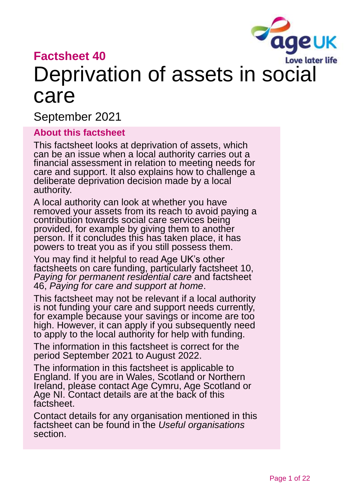

# **Factsheet 40**

# Deprivation of assets in social care

September 2021

#### **About this factsheet**

This factsheet looks at deprivation of assets, which can be an issue when a local authority carries out a financial assessment in relation to meeting needs for care and support. It also explains how to challenge a deliberate deprivation decision made by a local authority.

A local authority can look at whether you have removed your assets from its reach to avoid paying a contribution towards social care services being provided, for example by giving them to another person. If it concludes this has taken place, it has powers to treat you as if you still possess them.

You may find it helpful to read Age UK's other factsheets on care funding, particularly factsheet 10, *[Paying for permanent residential care](https://www.ageuk.org.uk/globalassets/age-uk/documents/factsheets/fs10_paying_for_permanent_residential_care_fcs.pdf?dtrk=true)* and factsheet 46, *[Paying for care and support at home](https://www.ageuk.org.uk/globalassets/age-uk/documents/factsheets/fs46_paying_for_care_and_support_at_home_fcs.pdf)*.

This factsheet may not be relevant if a local authority is not funding your care and support needs currently, for example because your savings or income are too high. However, it can apply if you subsequently need to apply to the local authority for help with funding.

The information in this factsheet is correct for the period September 2021 to August 2022.

The information in this factsheet is applicable to England. If you are in Wales, Scotland or Northern Ireland, please contact Age Cymru, Age Scotland or Age NI. Contact details are at the back of this factsheet.

Contact details for any organisation mentioned in this factsheet can be found in the *[Useful organisations](#page-18-0)* section.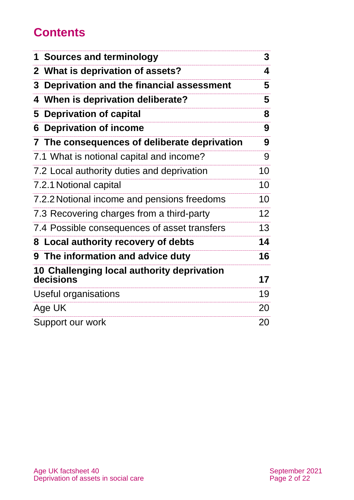# **Contents**

| 1 Sources and terminology                               | 3  |
|---------------------------------------------------------|----|
| What is deprivation of assets?<br>2 <sup>1</sup>        | 4  |
| Deprivation and the financial assessment<br>3           | 5  |
| 4 When is deprivation deliberate?                       | 5  |
| <b>Deprivation of capital</b><br>5                      | 8  |
| <b>Deprivation of income</b><br>6                       | 9  |
| 7 The consequences of deliberate deprivation            | 9  |
| 7.1 What is notional capital and income?                | 9  |
| 7.2 Local authority duties and deprivation              | 10 |
| 7.2.1 Notional capital                                  | 10 |
| 7.2.2 Notional income and pensions freedoms             | 10 |
| 7.3 Recovering charges from a third-party               | 12 |
| 7.4 Possible consequences of asset transfers            | 13 |
| 8 Local authority recovery of debts                     | 14 |
| 9 The information and advice duty                       | 16 |
| 10 Challenging local authority deprivation<br>decisions | 17 |
| Useful organisations                                    | 19 |
| Age UK                                                  | 20 |
| Support our work                                        | 20 |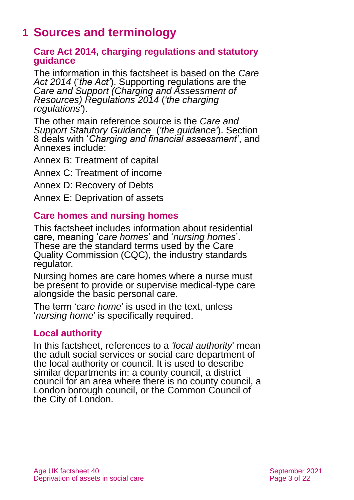# <span id="page-2-0"></span>**1 Sources and terminology**

#### **Care Act 2014, charging regulations and statutory guidance**

The information in this factsheet is based on the *[Care](http://www.legislation.gov.uk/ukpga/2014/23/contents)  [Act 2014](http://www.legislation.gov.uk/ukpga/2014/23/contents)* ('*the Act'*). Supporting regulations are the *[Care and Support \(Charging and Assessment of](http://www.legislation.gov.uk/uksi/2014/2672/contents/made)  [Resources\) Regulations 2014](http://www.legislation.gov.uk/uksi/2014/2672/contents/made)* (*'the charging regulations'*).

The other main reference source is the *[Care and](https://www.gov.uk/government/publications/care-act-statutory-guidance/care-and-support-statutory-guidance)  [Support Statutory Guidance](https://www.gov.uk/government/publications/care-act-statutory-guidance/care-and-support-statutory-guidance)* (*'the guidance'*). Section 8 deals with '*Charging and financial assessment'*, and Annexes include:

Annex B: Treatment of capital

Annex C: Treatment of income

Annex D: Recovery of Debts

Annex E: Deprivation of assets

### **Care homes and nursing homes**

This factsheet includes information about residential care, meaning '*care homes*' and '*nursing homes*'. These are the standard terms used by the Care Quality Commission (CQC), the industry standards regulator.

Nursing homes are care homes where a nurse must be present to provide or supervise medical-type care alongside the basic personal care.

The term '*care home*' is used in the text, unless '*nursing home*' is specifically required.

#### **Local authority**

In this factsheet, references to a *'local authority*' mean the adult social services or social care department of the local authority or council. It is used to describe similar departments in: a county council, a district council for an area where there is no county council, a London borough council, or the Common Council of the City of London.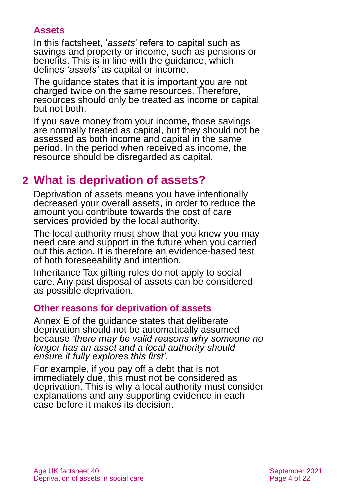### **Assets**

In this factsheet, '*assets*' refers to capital such as savings and property or income, such as pensions or benefits. This is in line with the guidance, which defines *'assets'* as capital or income.

The guidance states that it is important you are not charged twice on the same resources. Therefore, resources should only be treated as income or capital but not both.

If you save money from your income, those savings are normally treated as capital, but they should not be assessed as both income and capital in the same period. In the period when received as income, the resource should be disregarded as capital.

# <span id="page-3-0"></span>**2 What is deprivation of assets?**

Deprivation of assets means you have intentionally decreased your overall assets, in order to reduce the amount you contribute towards the cost of care services provided by the local authority.

The local authority must show that you knew you may need care and support in the future when you carried out this action. It is therefore an evidence-based test of both foreseeability and intention.

Inheritance Tax gifting rules do not apply to social care. Any past disposal of assets can be considered as possible deprivation.

### **Other reasons for deprivation of assets**

Annex E of the guidance states that deliberate deprivation should not be automatically assumed because *'there may be valid reasons why someone no longer has an asset and a local authority should ensure it fully explores this first'.*

For example, if you pay off a debt that is not immediately due, this must not be considered as deprivation. This is why a local authority must consider explanations and any supporting evidence in each case before it makes its decision.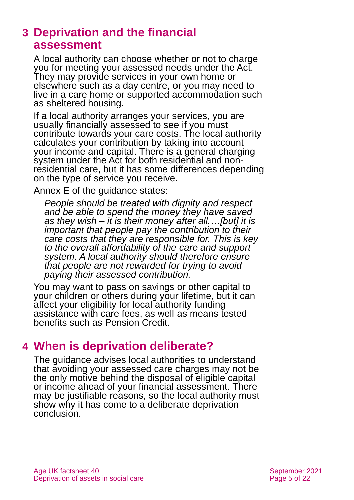# <span id="page-4-0"></span>**3 Deprivation and the financial assessment**

A local authority can choose whether or not to charge you for meeting your assessed needs under the Act. They may provide services in your own home or elsewhere such as a day centre, or you may need to live in a care home or supported accommodation such as sheltered housing.

If a local authority arranges your services, you are usually financially assessed to see if you must contribute towards your care costs. The local authority calculates your contribution by taking into account your income and capital. There is a general charging system under the Act for both residential and nonresidential care, but it has some differences depending on the type of service you receive.

Annex E of the guidance states:

*People should be treated with dignity and respect and be able to spend the money they have saved as they wish – it is their money after all.…[but] it is important that people pay the contribution to their care costs that they are responsible for. This is key to the overall affordability of the care and support system. A local authority should therefore ensure that people are not rewarded for trying to avoid paying their assessed contribution.* 

You may want to pass on savings or other capital to your children or others during your lifetime, but it can affect your eligibility for local authority funding assistance with care fees, as well as means tested benefits such as Pension Credit.

# <span id="page-4-1"></span>**4 When is deprivation deliberate?**

The guidance advises local authorities to understand that avoiding your assessed care charges may not be the only motive behind the disposal of eligible capital or income ahead of your financial assessment. There may be justifiable reasons, so the local authority must show why it has come to a deliberate deprivation conclusion.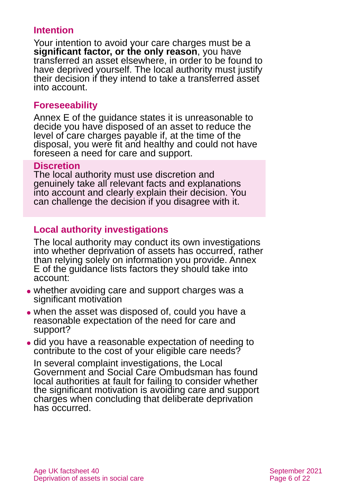### **Intention**

Your intention to avoid your care charges must be a **significant factor, or the only reason**, you have transferred an asset elsewhere, in order to be found to have deprived yourself. The local authority must justify their decision if they intend to take a transferred asset into account.

#### **Foreseeability**

Annex E of the guidance states it is unreasonable to decide you have disposed of an asset to reduce the level of care charges payable if, at the time of the disposal, you were fit and healthy and could not have foreseen a need for care and support.

#### **Discretion**

The local authority must use discretion and genuinely take all relevant facts and explanations into account and clearly explain their decision. You can challenge the decision if you disagree with it.

### **Local authority investigations**

The local authority may conduct its own investigations into whether deprivation of assets has occurred, rather than relying solely on information you provide. Annex E of the guidance lists factors they should take into account:

- ⚫ whether avoiding care and support charges was a significant motivation
- when the asset was disposed of, could you have a reasonable expectation of the need for care and support?
- ⚫ did you have a reasonable expectation of needing to contribute to the cost of your eligible care needs?

In several complaint investigations, the Local Government and Social Care Ombudsman has found local authorities at fault for failing to consider whether the significant motivation is avoiding care and support charges when concluding that deliberate deprivation has occurred.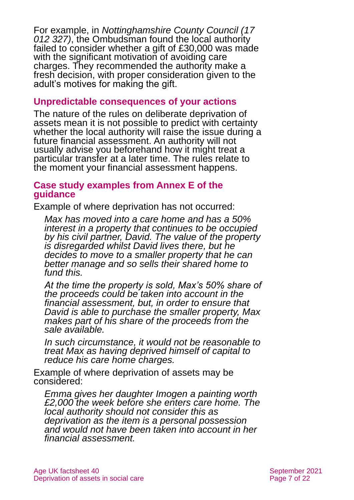For example, in *[Nottinghamshire County Council \(17](https://www.lgo.org.uk/decisions/adult-care-services/assessment-and-care-plan/17-012-327)  [012 327\)](https://www.lgo.org.uk/decisions/adult-care-services/assessment-and-care-plan/17-012-327)*, the Ombudsman found the local authority failed to consider whether a gift of £30,000 was made with the significant motivation of avoiding care charges. They recommended the authority make a fresh decision, with proper consideration given to the adult's motives for making the gift.

#### **Unpredictable consequences of your actions**

The nature of the rules on deliberate deprivation of assets mean it is not possible to predict with certainty whether the local authority will raise the issue during a future financial assessment. An authority will not usually advise you beforehand how it might treat a particular transfer at a later time. The rules relate to the moment your financial assessment happens.

#### **Case study examples from Annex E of the guidance**

Example of where deprivation has not occurred:

*Max has moved into a care home and has a 50% interest in a property that continues to be occupied by his civil partner, David. The value of the property is disregarded whilst David lives there, but he decides to move to a smaller property that he can better manage and so sells their shared home to fund this.* 

*At the time the property is sold, Max's 50% share of the proceeds could be taken into account in the financial assessment, but, in order to ensure that David is able to purchase the smaller property, Max makes part of his share of the proceeds from the sale available.* 

*In such circumstance, it would not be reasonable to treat Max as having deprived himself of capital to reduce his care home charges.* 

Example of where deprivation of assets may be considered:

*Emma gives her daughter Imogen a painting worth £2,000 the week before she enters care home. The local authority should not consider this as deprivation as the item is a personal possession and would not have been taken into account in her financial assessment.*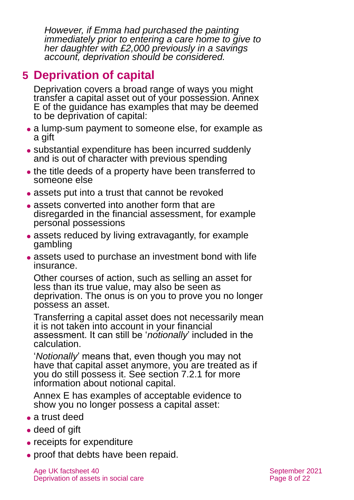*However, if Emma had purchased the painting immediately prior to entering a care home to give to her daughter with £2,000 previously in a savings account, deprivation should be considered.* 

# <span id="page-7-0"></span>**5 Deprivation of capital**

Deprivation covers a broad range of ways you might transfer a capital asset out of your possession. Annex E of the guidance has examples that may be deemed to be deprivation of capital:

- a lump-sum payment to someone else, for example as a gift
- ⚫ substantial expenditure has been incurred suddenly and is out of character with previous spending
- the title deeds of a property have been transferred to someone else
- ⚫ assets put into a trust that cannot be revoked
- assets converted into another form that are disregarded in the financial assessment, for example personal possessions
- assets reduced by living extravagantly, for example gambling
- assets used to purchase an investment bond with life insurance.

Other courses of action, such as selling an asset for less than its true value, may also be seen as deprivation. The onus is on you to prove you no longer possess an asset.

Transferring a capital asset does not necessarily mean it is not taken into account in your financial assessment. It can still be '*notionally*' included in the calculation.

'*Notionally*' means that, even though you may not have that capital asset anymore, you are treated as if you do still possess it. See [section 7.2.1](#page-9-0) for more information about notional capital.

Annex E has examples of acceptable evidence to show you no longer possess a capital asset:

- a trust deed
- deed of gift
- receipts for expenditure
- proof that debts have been repaid.

Age UK factsheet 40 September 2021 Deprivation of assets in social care **Page 8** of 22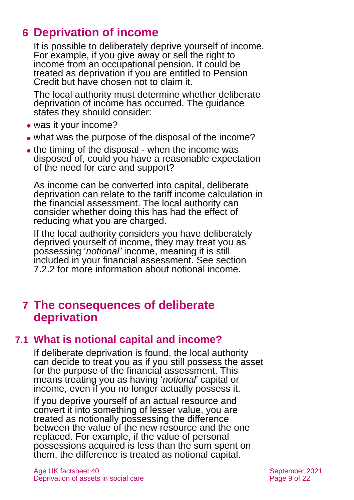# <span id="page-8-0"></span>**6 Deprivation of income**

It is possible to deliberately deprive yourself of income. For example, if you give away or sell the right to income from an occupational pension. It could be treated as deprivation if you are entitled to Pension Credit but have chosen not to claim it.

The local authority must determine whether deliberate deprivation of income has occurred. The guidance states they should consider:

- ⚫ was it your income?
- what was the purpose of the disposal of the income?
- the timing of the disposal when the income was disposed of, could you have a reasonable expectation of the need for care and support?

As income can be converted into capital, deliberate deprivation can relate to the tariff income calculation in the financial assessment. The local authority can consider whether doing this has had the effect of reducing what you are charged.

If the local authority considers you have deliberately deprived yourself of income, they may treat you as possessing '*notional'* income, meaning it is still included in your financial assessment. [See section](#page-9-1)  [7.2.2](#page-9-1) for more information about notional income.

# <span id="page-8-1"></span>**7 The consequences of deliberate deprivation**

# **7.1 What is notional capital and income?**

If deliberate deprivation is found, the local authority can decide to treat you as if you still possess the asset for the purpose of the financial assessment. This means treating you as having '*notional*' capital or income, even if you no longer actually possess it.

If you deprive yourself of an actual resource and convert it into something of lesser value, you are treated as notionally possessing the difference between the value of the new resource and the one replaced. For example, if the value of personal possessions acquired is less than the sum spent on them, the difference is treated as notional capital.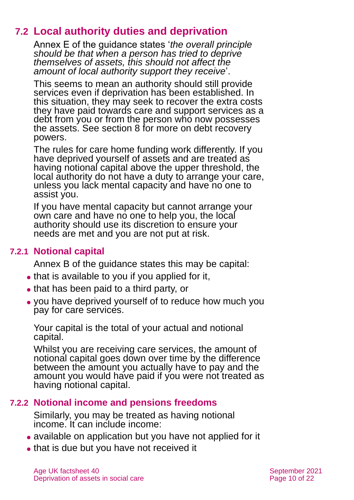# **7.2 Local authority duties and deprivation**

Annex E of the guidance states '*the overall principle should be that when a person has tried to deprive themselves of assets, this should not affect the amount of local authority support they receive*'.

This seems to mean an authority should still provide services even if deprivation has been established. In this situation, they may seek to recover the extra costs they have paid towards care and support services as a debt from you or from the person who now possesses the assets. See [section 8](#page-13-0) for more on debt recovery powers.

The rules for care home funding work differently. If you have deprived yourself of assets and are treated as having notional capital above the upper threshold, the local authority do not have a duty to arrange your care, unless you lack mental capacity and have no one to assist you.

If you have mental capacity but cannot arrange your own care and have no one to help you, the local authority should use its discretion to ensure your needs are met and you are not put at risk.

### **7.2.1 Notional capital**

<span id="page-9-0"></span>Annex B of the guidance states this may be capital:

- that is available to you if you applied for it,
- ⚫ that has been paid to a third party, or
- ⚫ you have deprived yourself of to reduce how much you pay for care services.

Your capital is the total of your actual and notional capital.

Whilst you are receiving care services, the amount of notional capital goes down over time by the difference between the amount you actually have to pay and the amount you would have paid if you were not treated as having notional capital.

### **7.2.2 Notional income and pensions freedoms**

<span id="page-9-1"></span>Similarly, you may be treated as having notional income. It can include income:

- ⚫ available on application but you have not applied for it
- ⚫ that is due but you have not received it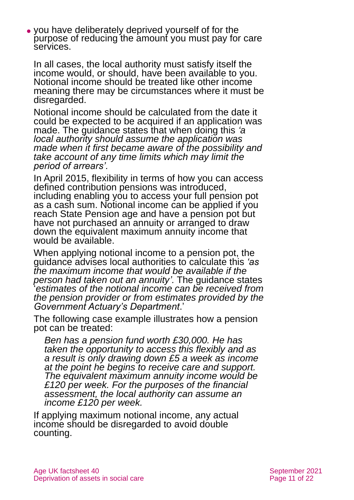⚫ you have deliberately deprived yourself of for the purpose of reducing the amount you must pay for care services.

In all cases, the local authority must satisfy itself the income would, or should, have been available to you. Notional income should be treated like other income meaning there may be circumstances where it must be disregarded.

Notional income should be calculated from the date it could be expected to be acquired if an application was made. The guidance states that when doing this *'a local authority should assume the application was made when it first became aware of the possibility and take account of any time limits which may limit the period of arrears'.*

In April 2015, flexibility in terms of how you can access defined contribution pensions was introduced, including enabling you to access your full pension pot as a cash sum. Notional income can be applied if you reach State Pension age and have a pension pot but have not purchased an annuity or arranged to draw down the equivalent maximum annuity income that would be available.

When applying notional income to a pension pot, the guidance advises local authorities to calculate this *'as the maximum income that would be available if the person had taken out an annuity'.* The guidance states '*estimates of the notional income can be received from the pension provider or from estimates provided by the Government Actuary's Department*.'

The following case example illustrates how a pension pot can be treated:

*Ben has a pension fund worth £30,000. He has taken the opportunity to access this flexibly and as a result is only drawing down £5 a week as income at the point he begins to receive care and support. The equivalent maximum annuity income would be £120 per week. For the purposes of the financial assessment, the local authority can assume an income £120 per week.*

If applying maximum notional income, any actual income should be disregarded to avoid double counting.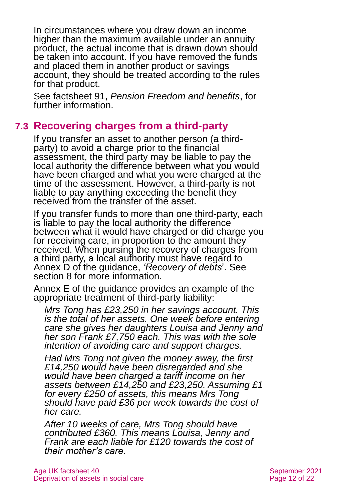In circumstances where you draw down an income higher than the maximum available under an annuity product, the actual income that is drawn down should be taken into account. If you have removed the funds and placed them in another product or savings account, they should be treated according to the rules for that product.

See factsheet 91, *[Pension Freedom and benefits](https://www.ageuk.org.uk/globalassets/age-uk/documents/factsheets/fs91_pension_freedom_and_benefits_fcs.pdf)*, for further information.

# **7.3 Recovering charges from a third-party**

If you transfer an asset to another person (a thirdparty) to avoid a charge prior to the financial assessment, the third party may be liable to pay the local authority the difference between what you would have been charged and what you were charged at the time of the assessment. However, a third-party is not liable to pay anything exceeding the benefit they received from the transfer of the asset.

If you transfer funds to more than one third-party, each is liable to pay the local authority the difference between what it would have charged or did charge you for receiving care, in proportion to the amount they received. When pursing the recovery of charges from a third party, a local authority must have regard to Annex D of the guidance, *'Recovery of debts*'. See [section 8](#page-13-0) for more information.

Annex E of the guidance provides an example of the appropriate treatment of third-party liability:

*Mrs Tong has £23,250 in her savings account. This is the total of her assets. One week before entering care she gives her daughters Louisa and Jenny and her son Frank £7,750 each. This was with the sole intention of avoiding care and support charges.* 

*Had Mrs Tong not given the money away, the first £14,250 would have been disregarded and she would have been charged a tariff income on her assets between £14,250 and £23,250. Assuming £1 for every £250 of assets, this means Mrs Tong should have paid £36 per week towards the cost of her care.* 

*After 10 weeks of care, Mrs Tong should have contributed £360. This means Louisa, Jenny and Frank are each liable for £120 towards the cost of their mother's care.*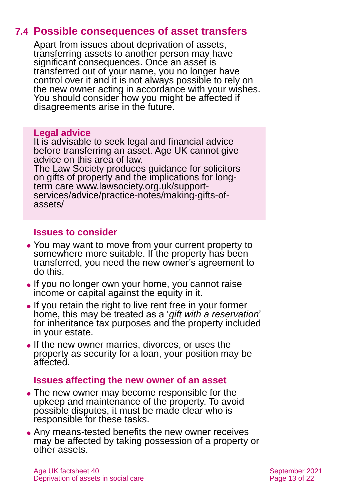# **7.4 Possible consequences of asset transfers**

Apart from issues about deprivation of assets, transferring assets to another person may have significant consequences. Once an asset is transferred out of your name, you no longer have control over it and it is not always possible to rely on the new owner acting in accordance with your wishes. You should consider how you might be affected if disagreements arise in the future.

#### **Legal advice**

It is advisable to seek legal and financial advice before transferring an asset. Age UK cannot give advice on this area of law.

The Law Society produces guidance for solicitors on gifts of property and the implications for longterm care [www.lawsociety.org.uk/support](http://www.lawsociety.org.uk/support-services/advice/practice-notes/making-gifts-of-assets/)[services/advice/practice-notes/making-gifts-of](http://www.lawsociety.org.uk/support-services/advice/practice-notes/making-gifts-of-assets/)[assets/](http://www.lawsociety.org.uk/support-services/advice/practice-notes/making-gifts-of-assets/)

### **Issues to consider**

- ⚫ You may want to move from your current property to somewhere more suitable. If the property has been transferred, you need the new owner's agreement to do this.
- If you no longer own your home, you cannot raise income or capital against the equity in it.
- ⚫ If you retain the right to live rent free in your former home, this may be treated as a '*gift with a reservation*' for inheritance tax purposes and the property included in your estate.
- ⚫ If the new owner marries, divorces, or uses the property as security for a loan, your position may be affected.

### **Issues affecting the new owner of an asset**

- ⚫ The new owner may become responsible for the upkeep and maintenance of the property. To avoid possible disputes, it must be made clear who is responsible for these tasks.
- ⚫ Any means-tested benefits the new owner receives may be affected by taking possession of a property or other assets.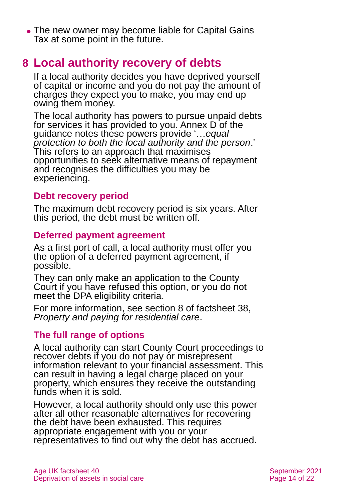• The new owner may become liable for Capital Gains Tax at some point in the future.

# <span id="page-13-0"></span>**8 Local authority recovery of debts**

If a local authority decides you have deprived yourself of capital or income and you do not pay the amount of charges they expect you to make, you may end up owing them money.

The local authority has powers to pursue unpaid debts for services it has provided to you. Annex D of the guidance notes these powers provide '…*equal protection to both the local authority and the person*.' This refers to an approach that maximises opportunities to seek alternative means of repayment and recognises the difficulties you may be experiencing.

### **Debt recovery period**

The maximum debt recovery period is six years. After this period, the debt must be written off.

### **Deferred payment agreement**

As a first port of call, a local authority must offer you the option of a deferred payment agreement, if possible.

They can only make an application to the County Court if you have refused this option, or you do not meet the DPA eligibility criteria.

For more information, see section 8 of factsheet 38, *[Property and paying for residential care](https://www.ageuk.org.uk/globalassets/age-uk/documents/factsheets/fs38_property_and_paying_for_residential_care_fcs.pdf)*.

### **The full range of options**

A local authority can start County Court proceedings to recover debts if you do not pay or misrepresent information relevant to your financial assessment. This can result in having a legal charge placed on your property, which ensures they receive the outstanding funds when it is sold.

However, a local authority should only use this power after all other reasonable alternatives for recovering the debt have been exhausted. This requires appropriate engagement with you or your representatives to find out why the debt has accrued.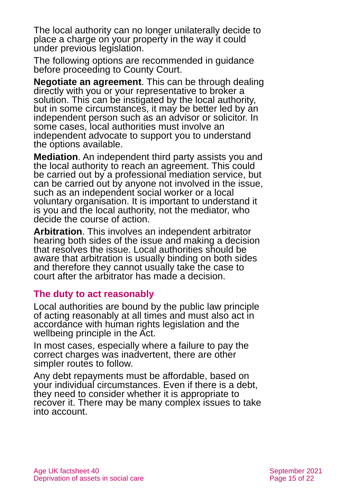The local authority can no longer unilaterally decide to place a charge on your property in the way it could under previous legislation.

The following options are recommended in guidance before proceeding to County Court.

**Negotiate an agreement**. This can be through dealing directly with you or your representative to broker a solution. This can be instigated by the local authority, but in some circumstances, it may be better led by an independent person such as an advisor or solicitor. In some cases, local authorities must involve an independent advocate to support you to understand the options available.

**Mediation**. An independent third party assists you and the local authority to reach an agreement. This could be carried out by a professional mediation service, but can be carried out by anyone not involved in the issue, such as an independent social worker or a local voluntary organisation. It is important to understand it is you and the local authority, not the mediator, who decide the course of action.

**Arbitration**. This involves an independent arbitrator hearing both sides of the issue and making a decision that resolves the issue. Local authorities should be aware that arbitration is usually binding on both sides and therefore they cannot usually take the case to court after the arbitrator has made a decision.

### **The duty to act reasonably**

Local authorities are bound by the public law principle of acting reasonably at all times and must also act in accordance with human rights legislation and the wellbeing principle in the Act.

In most cases, especially where a failure to pay the correct charges was inadvertent, there are other simpler routes to follow.

Any debt repayments must be affordable, based on your individual circumstances. Even if there is a debt, they need to consider whether it is appropriate to recover it. There may be many complex issues to take into account.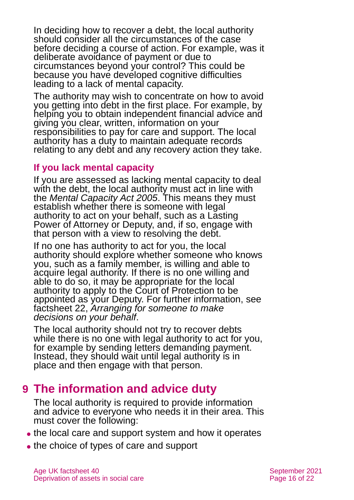In deciding how to recover a debt, the local authority should consider all the circumstances of the case before deciding a course of action. For example, was it deliberate avoidance of payment or due to circumstances beyond your control? This could be because you have developed cognitive difficulties leading to a lack of mental capacity.

The authority may wish to concentrate on how to avoid you getting into debt in the first place. For example, by helping you to obtain independent financial advice and giving you clear, written, information on your responsibilities to pay for care and support. The local authority has a duty to maintain adequate records relating to any debt and any recovery action they take.

#### **If you lack mental capacity**

If you are assessed as lacking mental capacity to deal with the debt, the local authority must act in line with the *Mental Capacity Act 2005*. This means they must establish whether there is someone with legal authority to act on your behalf, such as a Lasting Power of Attorney or Deputy, and, if so, engage with that person with a view to resolving the debt.

If no one has authority to act for you, the local authority should explore whether someone who knows you, such as a family member, is willing and able to acquire legal authority. If there is no one willing and able to do so, it may be appropriate for the local authority to apply to the Court of Protection to be appointed as your Deputy. For further information, see factsheet 22, *[Arranging for someone to make](https://www.ageuk.org.uk/globalassets/age-uk/documents/factsheets/fs22_arranging_for_someone_to_make_decisions_on_your_behalf_fcs.pdf)  [decisions on your behalf](https://www.ageuk.org.uk/globalassets/age-uk/documents/factsheets/fs22_arranging_for_someone_to_make_decisions_on_your_behalf_fcs.pdf)*.

The local authority should not try to recover debts while there is no one with legal authority to act for you, for example by sending letters demanding payment. Instead, they should wait until legal authority is in place and then engage with that person.

# <span id="page-15-0"></span>**9 The information and advice duty**

The local authority is required to provide information and advice to everyone who needs it in their area. This must cover the following:

- the local care and support system and how it operates
- the choice of types of care and support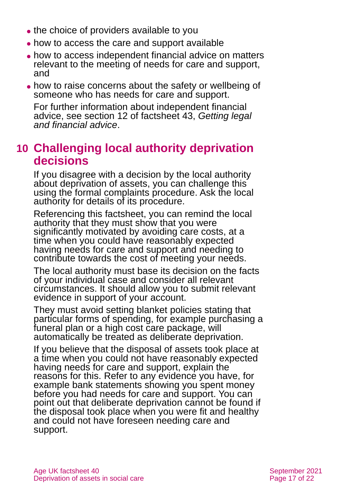- the choice of providers available to you
- ⚫ how to access the care and support available
- ⚫ how to access independent financial advice on matters relevant to the meeting of needs for care and support, and
- ⚫ how to raise concerns about the safety or wellbeing of someone who has needs for care and support.

For further information about independent financial advice, see section 12 of factsheet 43, *[Getting legal](https://www.ageuk.org.uk/globalassets/age-uk/documents/factsheets/fs43-getting-legal-and-financial-advice.pdf)  [and financial advice](https://www.ageuk.org.uk/globalassets/age-uk/documents/factsheets/fs43-getting-legal-and-financial-advice.pdf)*.

# <span id="page-16-0"></span>**10 Challenging local authority deprivation decisions**

If you disagree with a decision by the local authority about deprivation of assets, you can challenge this using the formal complaints procedure. Ask the local authority for details of its procedure.

Referencing this factsheet, you can remind the local authority that they must show that you were significantly motivated by avoiding care costs, at a time when you could have reasonably expected having needs for care and support and needing to contribute towards the cost of meeting your needs.

The local authority must base its decision on the facts of your individual case and consider all relevant circumstances. It should allow you to submit relevant evidence in support of your account.

They must avoid setting blanket policies stating that particular forms of spending, for example purchasing a funeral plan or a high cost care package, will automatically be treated as deliberate deprivation.

If you believe that the disposal of assets took place at a time when you could not have reasonably expected having needs for care and support, explain the reasons for this. Refer to any evidence you have, for example bank statements showing you spent money before you had needs for care and support. You can point out that deliberate deprivation cannot be found if the disposal took place when you were fit and healthy and could not have foreseen needing care and support.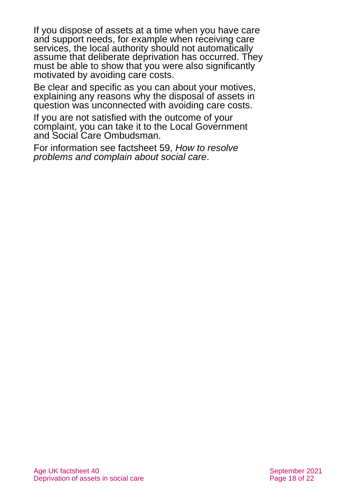If you dispose of assets at a time when you have care and support needs, for example when receiving care services, the local authority should not automatically assume that deliberate deprivation has occurred. They must be able to show that you were also significantly motivated by avoiding care costs.

Be clear and specific as you can about your motives, explaining any reasons why the disposal of assets in question was unconnected with avoiding care costs.

If you are not satisfied with the outcome of your complaint, you can take it to the Local Government and Social Care Ombudsman.

For information see factsheet 59, *[How to resolve](https://www.ageuk.org.uk/globalassets/age-uk/documents/factsheets/fs59_how_to_resolve_problems_and_complain_about_social_care_fcs.pdf)  problems and [complain about social care](https://www.ageuk.org.uk/globalassets/age-uk/documents/factsheets/fs59_how_to_resolve_problems_and_complain_about_social_care_fcs.pdf)*.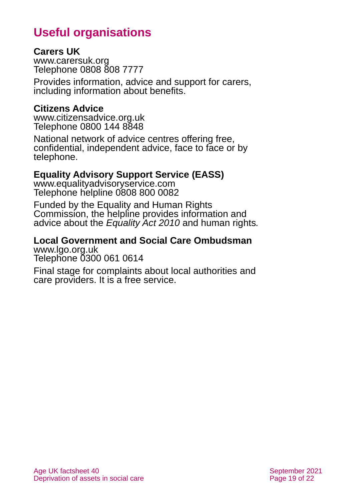# **Useful organisations**

#### <span id="page-18-0"></span>**Carers UK**

[www.carersuk.org](http://www.carersuk.org/) Telephone 0808 808 7777

Provides information, advice and support for carers, including information about benefits.

#### **Citizens Advice**

[www.citizensadvice.org.uk](http://www.citizensadvice.org.uk/) Telephone 0800 144 8848

National network of advice centres offering free, confidential, independent advice, face to face or by telephone.

### **Equality Advisory Support Service (EASS)**

[www.equalityadvisoryservice.com](http://www.equalityadvisoryservice.com/) Telephone helpline 0808 800 0082

Funded by the Equality and Human Rights Commission, the helpline provides information and advice about the *Equality Act 2010* and human rights*.*

#### **Local Government and Social Care Ombudsman** [www.lgo.org.uk](http://www.lgo.org.uk/)

Telephone 0300 061 0614

Final stage for complaints about local authorities and care providers. It is a free service.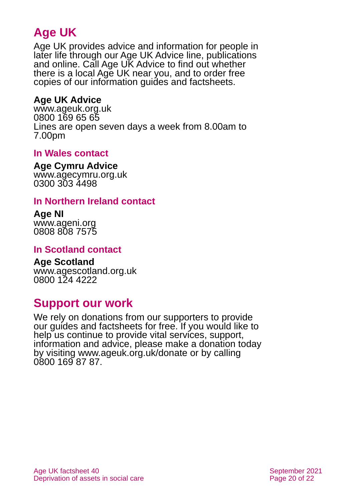# **Age UK**

Age UK provides advice and information for people in later life through our Age UK Advice line, publications and online. Call Age UK Advice to find out whether there is a local Age UK near you, and to order free copies of our information guides and factsheets.

### <span id="page-19-0"></span>**Age UK Advice**

[www.ageuk.org.uk](http://www.ageuk.org.uk/) 0800 169 65 65 Lines are open seven days a week from 8.00am to 7.00pm

### **In Wales contact**

#### **Age Cymru Advice**

[www.agecymru.org.uk](http://www.agecymru.org.uk/) 0300 303 4498

#### **In Northern Ireland contact**

#### **Age NI** [www.ageni.org](http://www.ageni.org/)

0808 808 7575

#### **In Scotland contact**

#### <span id="page-19-1"></span>**Age Scotland** [www.agescotland.org.uk](http://www.agescotland.org.uk/)

0800 124 4222

# **Support our work**

We rely on donations from our supporters to provide our guides and factsheets for free. If you would like to help us continue to provide vital services, support, information and advice, please make a donation today by visiting [www.ageuk.org.uk/donate](http://www.ageuk.org.uk/donate) or by calling 0800 169 87 87.